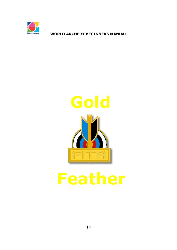



# **Feather**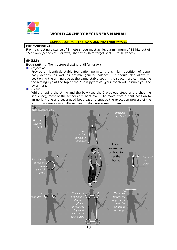

#### CURRICULUM FOR THE WA **GOLD FEATHER** AWARD

#### **PERFORMANCE:**

From a shooting distance of 8 meters, you must achieve a minimum of 12 hits out of 15 arrows (5 ends of 3 arrows) shot at a 80cm target spot (6 to 10 zones).

#### **SKILLS:**

**Body setting** (from before drawing until full draw)

#### *Objective:*

Provide an identical, stable foundation permitting a similar repetition of upper body actions, as well as optimal general balance. It should also allow repositioning the aiming eye at the same stable spot in the space. We can imagine the aiming eye at the top of the "main pyramid" (your coach will instruct you the pyramids).

*Form:* 

While gripping the string and the bow (see the 2 previous steps of the shooting sequence), most of the archers are bent over. To move from a bent position to an upright one and set a good body base to engage the execution process of the shot, there are several alternatives. Below are some of them:

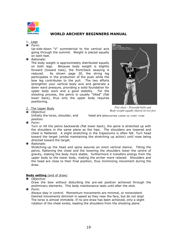

#### 1. Legs *Form:*

Up-side-down "V" symmetrical to the vertical axis going through the summit. Weight is placed equally on both feet.

#### *Rationale:*

The body weight is approximately distributed equally on both legs. Because body weight is slightly forward (toward toes), the front/back swaying is reduced. As shown page 20, the string leg participates in the production of the push while the bow leg contributes to the pull. The two efforts strengthen your vertical body axis and generate a down ward pressure, providing a solid foundation for upper body work and a good stability. For the shooting process, the pelvis is usually "tilted" (flat lower back), thus only the upper body requires positioning.



*Body weight equally shared on two feet* 

2. The Upper Body

#### *Objective:*

position.

Initially the torso, shoulder, and head are positioned close to their final

*Form:* 

Turn or tilt the pelvis backwards (flat lower back), the spine is stretched up with the shoulders in the same plane as the hips. The shoulders are lowered and chest is flattened. A slight stretching in the trapeziums is often felt. Turn head toward the target (whilst maintaining the stretching up action) until nose being directed toward the target.

*Rationale:* 

Stretching-up the head and spine assures an erect vertical stance. Tilting the pelvis, flattening the chest and the lowering the shoulders lower the centre of gravity, making the body more stable; furthermore it transfers energy from the upper body to the lower body, making the archer more relaxed. Shoulders and the head are close to their final position, thus minimizing movement during the draw.

## **Body setting** (end of draw)

 $\bullet$ *Objective:* 

Draw the bow without disturbing the pre-set position achieved through the preliminary elements. This body maintenance lasts until after the shot.

*Form:* 

Always stay in control. Momentum movements are minimal, or nonexistent. Desired movements diminish in speed as they near the face, but do not stop! The torso is almost immobile. If no pre-draw has been achieved, only a slight rotation of the chest exists, leading the shoulders from the shooting plane.

19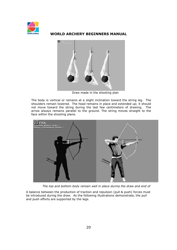



Draw made in the shooting plan

The body is vertical or remains at a slight inclination toward the string leg. The shoulders remain lowered. The head remains in place and extended up; it should not move toward the string during the last few centimeters of drawing. The arrow always remains parallel to the ground. The string moves straight to the face within the shooting plane.



*The top and bottom body remain well in place during the draw and end of* 

A balance between the production of traction and repulsion (pull & push) forces must be introduced during the draw. As the following illustrations demonstrate, the pull and push efforts are supported by the legs.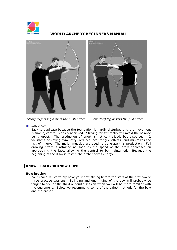





*String (right) leg assists the push effort Bow (left) leg assists the pull effort.* 

*Rationale:* 

Easy to duplicate because the foundation is hardly disturbed and the movement is simple, control is easily achieved. Striving for symmetry will avoid the balance being upset. The production of effort is not centralized, but dispersed. It facilitates achieving symmetry, reduces local fatigue effects, and minimizes the risk of injury. The major muscles are used to generate this production. Full drawing effort is attained as soon as the speed of the draw decreases on approaching the face, allowing the control to be maintained. Because the beginning of the draw is faster, the archer saves energy.

#### **KNOWLEDGE&/OR KNOW-HOW:**

#### **Bow bracing:**

Your coach will certainly have your bow strung before the start of the first two or three practice sessions. Stringing and unstringing of the bow will probably be taught to you at the third or fourth session when you will be more familiar with the equipment. Below we recommend some of the safest methods for the bow and the archer.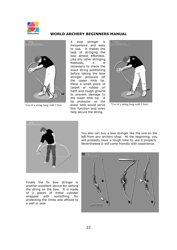



A loop stringer is inexpensive and easy to use. It makes the task of stringing the bow almost effortless. Like any other stringing methods, it is necessary to check the exact string positioning before taking the bow stringer pressure off the upper limb tip. Place a small piece of carpet or rubber on hard and rough ground to prevent damage to the lower limb tip. A tip protector on the lower limb would serve this function and even help secure the string. Use of a string loop with 2 feet.  $\frac{1}{2}$  lower limb would serve Use of a string loop with 1 foot.

**WORLD ARCHERY BEGINNERS MANUAL**





Finally the fix bow stringer is another excellent device for setting the string on the bow. It is made of 2 pieces of metal cylinder wrapped with something for protecting the limbs and affixed to a wall or pole.

You also can buy a bow stringer like the one on the left from any archery shop. At the beginning, you will probably have a tough time to use it properly. Nevertheless It will come friendly with experience.

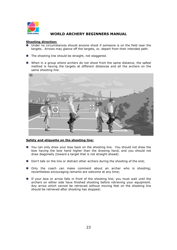

#### **Shooting direction:**

- Under no circumstances should anyone shoot if someone is on the field near the targets. Arrows may glance off the targets, or, depart from their intended path.
- **•** The shooting line should be straight, not staggered.
- When in a group where archers do not shoot from the same distance, the safest method is having the targets at different distances and all the archers on the same shooting line.



#### **Safety and etiquette on the shooting line:**

- You can only draw your bow back on the shooting line. You should not draw the bow having the bow hand higher than the drawing hand, and you should not draw diagonally (toward a target that is not straight ahead).
- **O** Don't talk on the line or distract other archers during the shooting of the end;
- Only the coach can make comment about an archer who is shooting; nevertheless encouraging remarks are welcome at any time;
- If your bow or arrow falls in front of the shooting line, you must wait until the archers on either side have finished shooting before retrieving your equipment. Any arrow which cannot be retrieved without moving feet on the shooting line should be retrieved after shooting has stopped;